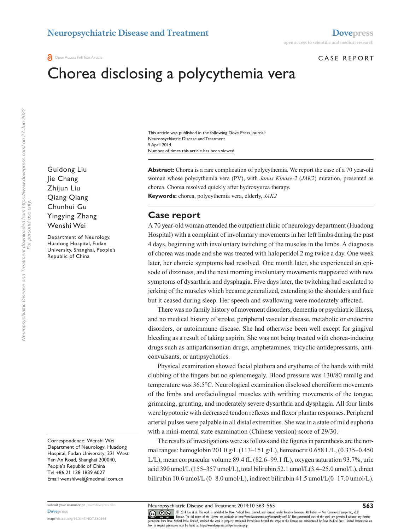#### Case report

# Chorea disclosing a polycythemia vera

Number of times this article has been viewed This article was published in the following Dove Press journal: Neuropsychiatric Disease and Treatment 5 April 2014

**Abstract:** Chorea is a rare complication of polycythemia. We report the case of a 70 year-old woman whose polycythemia vera (PV), with *Janus Kinase-2* (*JAK2*) mutation, presented as chorea. Chorea resolved quickly after hydroxyurea therapy. **Keywords:** chorea, polycythemia vera, elderly, *JAK2*

## **Case report**

A 70 year-old woman attended the outpatient clinic of neurology department (Huadong Hospital) with a complaint of involuntary movements in her left limbs during the past 4 days, beginning with involuntary twitching of the muscles in the limbs. A diagnosis of chorea was made and she was treated with haloperidol 2 mg twice a day. One week later, her choreic symptoms had resolved. One month later, she experienced an episode of dizziness, and the next morning involuntary movements reappeared with new symptoms of dysarthria and dysphagia. Five days later, the twitching had escalated to jerking of the muscles which became generalized, extending to the shoulders and face but it ceased during sleep. Her speech and swallowing were moderately affected.

There was no family history of movement disorders, dementia or psychiatric illness, and no medical history of stroke, peripheral vascular disease, metabolic or endocrine disorders, or autoimmune disease. She had otherwise been well except for gingival bleeding as a result of taking aspirin. She was not being treated with chorea-inducing drugs such as antiparkinsonian drugs, amphetamines, tricyclic antidepressants, anticonvulsants, or antipsychotics.

Physical examination showed facial plethora and erythema of the hands with mild clubbing of the fingers but no splenomegaly. Blood pressure was 130/80 mmHg and temperature was 36.5°C. Neurological examination disclosed choreiform movements of the limbs and orofaciolingual muscles with writhing movements of the tongue, grimacing, grunting, and moderately severe dysarthria and dysphagia. All four limbs were hypotonic with decreased tendon reflexes and flexor plantar responses. Peripheral arterial pulses were palpable in all distal extremities. She was in a state of mild euphoria with a mini-mental state examination (Chinese version) score of 29/30.<sup>1</sup>

The results of investigations were as follows and the figures in parenthesis are the normal ranges: hemoglobin 201.0 g/L (113–151 g/L), hematocrit 0.658 L/L, (0.335–0.450 L/L), mean corpuscular volume 89.4 fL (82.6–99.1 fL), oxygen saturation 93.7%, uric acid 390 umol/L (155–357 umol/L), total bilirubin 52.1 umol/L(3.4–25.0 umol/L), direct bilirubin 10.6 umol/L (0–8.0 umol/L), indirect bilirubin 41.5 umol/L(0–17.0 umol/L).

Guidong Liu Jie Chang Zhijun Liu Qiang Qiang Chunhui Gu Yingying Zhang Wenshi Wei

Department of Neurology, Huadong Hospital, Fudan University, Shanghai, People's Republic of China

Correspondence: Wenshi Wei Department of Neurology, Huadong Hospital, Fudan University, 221 West Yan An Road, Shanghai 200040, People's Republic of China Tel +86 21 138 1839 6027 Email [wenshiwei@medmail.com.cn](mailto:wenshiwei@medmail.com.cn)

Neuropsychiatric Disease and Treatment downloaded from https://www.dovepress.com/ on 27-Jun-2022<br>For personal use only. Neuropsychiatric Disease and Treatment downloaded from https://www.dovepress.com/ on 27-Jun-2022 For personal use only.

> **submit your manuscript** | <www.dovepress.com> **[Dovepress](www.dovepress.com)**

**<http://dx.doi.org/10.2147/NDT.S60694>**

CO ODI4 Liu et al. This work is published by Dove Medical Press Limited, and licensed under Creative Commons Attribution - Non Commercial (unported, v3.0)<br> [permission from Dove M](http://www.dovepress.com/permissions.php)edical Press Limited, provided the work is p how to request permission may be found at: http://www.dovepress.com/permissions.php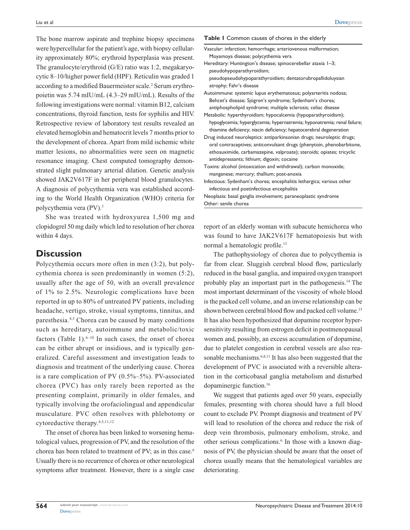The bone marrow aspirate and trephine biopsy specimens were hypercellular for the patient's age, with biopsy cellularity approximately 80%; erythroid hyperplasia was present. The granulocyte/erythroid (G/E) ratio was 1:2, megakaryocytic 8–10/higher power field (HPF). Reticulin was graded 1 according to a modified Bauermeister scale.<sup>2</sup> Serum erythropoietin was 5.74 mIU/mL (4.3–29 mIU/mL). Results of the following investigations were normal: vitamin B12, calcium concentrations, thyroid function, tests for syphilis and HIV. Retrospective review of laboratory test results revealed an elevated hemoglobin and hematocrit levels 7 months prior to the development of chorea. Apart from mild ischemic white matter lesions, no abnormalities were seen on magnetic resonance imaging. Chest computed tomography demonstrated slight pulmonary arterial dilation. Genetic analysis showed JAK2V617F in her peripheral blood granulocytes. A diagnosis of polycythemia vera was established according to the World Health Organization (WHO) criteria for polycythemia vera (PV).3

She was treated with hydroxyurea 1,500 mg and clopidogrel 50 mg daily which led to resolution of her chorea within 4 days.

## **Discussion**

Polycythemia occurs more often in men (3:2), but polycythemia chorea is seen predominantly in women (5:2), usually after the age of 50, with an overall prevalence of 1% to 2.5%. Neurologic complications have been reported in up to 80% of untreated PV patients, including headache, vertigo, stroke, visual symptoms, tinnitus, and paresthesia.4,5 Chorea can be caused by many conditions such as hereditary, autoimmune and metabolic/toxic factors (Table 1). $6-10$  In such cases, the onset of chorea can be either abrupt or insidious, and is typically generalized. Careful assessment and investigation leads to diagnosis and treatment of the underlying cause. Chorea is a rare complication of PV  $(0.5\% - 5\%)$ . PV-associated chorea (PVC) has only rarely been reported as the presenting complaint, primarily in older females, and typically involving the orofaciolingual and appendicular musculature. PVC often resolves with phlebotomy or cytoreductive therapy.4,5,11,12

The onset of chorea has been linked to worsening hematological values, progression of PV, and the resolution of the chorea has been related to treatment of PV; as in this case.<sup>6</sup> Usually there is no recurrence of chorea or other neurological symptoms after treatment. However, there is a single case **Table 1** Common causes of chorea in the elderly

- Vascular: infarction; hemorrhage; arteriovenous malformation; Moyamoya disease; polycythemia vera
- Hereditary: Huntington's disease; spinocerebellar ataxia 1–3; pseudohypoparathyroidism;

 pseudopseudohypoparathyroidism; dentatorubropallidoluysian atrophy; Fahr's disease

- Autoimmune: systemic lupus erythematosus; polyarteritis nodosa; Behcet's disease; Sjögren's syndrome; Sydenham's chorea; antiphospholipid syndrome; multiple sclerosis; celiac disease
- Metabolic: hyperthyroidism; hypocalcemia (hypoparathyroidism); hypoglycemia; hyperglycemia; hypernatremia; hyponatremia; renal failure; thiamine deficiency; niacin deficiency; hepatocerebral degeneration
- Drug induced neuroleptics: antiparkinsonian drugs; neuroleptic drugs; oral contraceptives; anticonvulsant drugs (phenytoin, phenobarbitone, ethosuximide, carbamazepine, valproate); steroids; opiates; tricyclic antidepressants; lithium; digoxin; cocaine
- Toxins: alcohol (intoxication and withdrawal); carbon monoxide; manganese; mercury; thallium; post-anoxia
- Infectious: Sydenham's chorea; encephalitis lethargica; various other infectious and postinfectious encephalitis

Neoplasia: basal ganglia involvement; paraneoplastic syndrome Other: senile chorea

report of an elderly woman with subacute hemichorea who was found to have JAK2V617F hematopoiesis but with normal a hematologic profile.<sup>13</sup>

The pathophysiology of chorea due to polycythemia is far from clear. Sluggish cerebral blood flow, particularly reduced in the basal ganglia, and impaired oxygen transport probably play an important part in the pathogenesis.14 The most important determinant of the viscosity of whole blood is the packed cell volume, and an inverse relationship can be shown between cerebral blood flow and packed cell volume.15 It has also been hypothesized that dopamine receptor hypersensitivity resulting from estrogen deficit in postmenopausal women and, possibly, an excess accumulation of dopamine, due to platelet congestion in cerebral vessels are also reasonable mechanisms.<sup>6,8,11</sup> It has also been suggested that the development of PVC is associated with a reversible alteration in the corticobasal ganglia metabolism and disturbed dopaminergic function.16

We suggest that patients aged over 50 years, especially females, presenting with chorea should have a full blood count to exclude PV. Prompt diagnosis and treatment of PV will lead to resolution of the chorea and reduce the risk of deep vein thrombosis, pulmonary embolism, stroke, and other serious complications.<sup>6</sup> In those with a known diagnosis of PV, the physician should be aware that the onset of chorea usually means that the hematological variables are deteriorating.